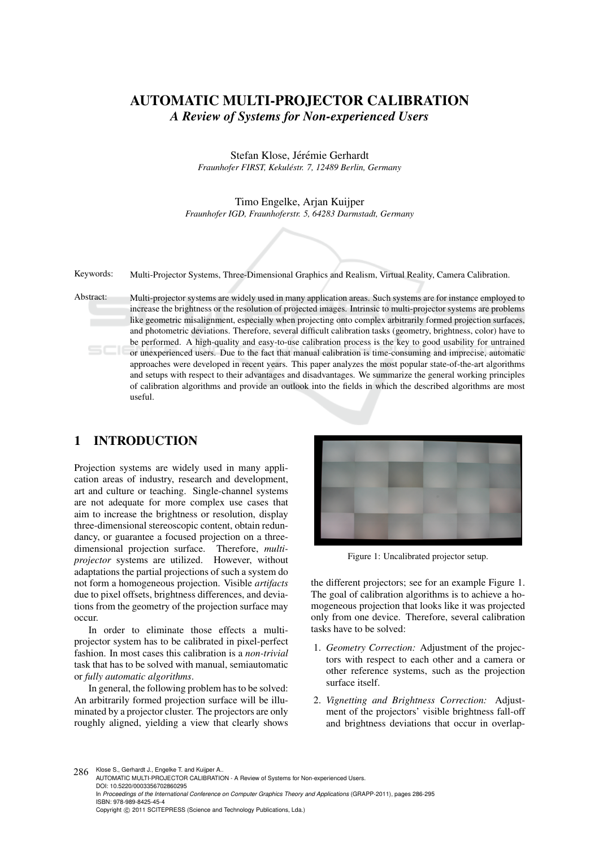# AUTOMATIC MULTI-PROJECTOR CALIBRATION *A Review of Systems for Non-experienced Users*

Stefan Klose, Jérémie Gerhardt *Fraunhofer FIRST, Kekulestr. 7, 12489 Berlin, Germany ´*

Timo Engelke, Arjan Kuijper *Fraunhofer IGD, Fraunhoferstr. 5, 64283 Darmstadt, Germany*

Keywords: Multi-Projector Systems, Three-Dimensional Graphics and Realism, Virtual Reality, Camera Calibration.

Abstract: Multi-projector systems are widely used in many application areas. Such systems are for instance employed to increase the brightness or the resolution of projected images. Intrinsic to multi-projector systems are problems like geometric misalignment, especially when projecting onto complex arbitrarily formed projection surfaces, and photometric deviations. Therefore, several difficult calibration tasks (geometry, brightness, color) have to be performed. A high-quality and easy-to-use calibration process is the key to good usability for untrained or unexperienced users. Due to the fact that manual calibration is time-consuming and imprecise, automatic approaches were developed in recent years. This paper analyzes the most popular state-of-the-art algorithms and setups with respect to their advantages and disadvantages. We summarize the general working principles of calibration algorithms and provide an outlook into the fields in which the described algorithms are most useful.

## 1 INTRODUCTION

Projection systems are widely used in many application areas of industry, research and development, art and culture or teaching. Single-channel systems are not adequate for more complex use cases that aim to increase the brightness or resolution, display three-dimensional stereoscopic content, obtain redundancy, or guarantee a focused projection on a threedimensional projection surface. Therefore, *multiprojector* systems are utilized. However, without adaptations the partial projections of such a system do not form a homogeneous projection. Visible *artifacts* due to pixel offsets, brightness differences, and deviations from the geometry of the projection surface may occur.

In order to eliminate those effects a multiprojector system has to be calibrated in pixel-perfect fashion. In most cases this calibration is a *non-trivial* task that has to be solved with manual, semiautomatic or *fully automatic algorithms*.

In general, the following problem has to be solved: An arbitrarily formed projection surface will be illuminated by a projector cluster. The projectors are only roughly aligned, yielding a view that clearly shows



Figure 1: Uncalibrated projector setup.

the different projectors; see for an example Figure 1. The goal of calibration algorithms is to achieve a homogeneous projection that looks like it was projected only from one device. Therefore, several calibration tasks have to be solved:

- 1. *Geometry Correction:* Adjustment of the projectors with respect to each other and a camera or other reference systems, such as the projection surface itself.
- 2. *Vignetting and Brightness Correction:* Adjustment of the projectors' visible brightness fall-off and brightness deviations that occur in overlap-

286 Klose S., Gerhardt J., Engelke T. and Kuijper A. AUTOMATIC MULTI-PROJECTOR CALIBRATION - A Review of Systems for Non-experienced Users. DOI: 10.5220/0003356702860295 In *Proceedings of the International Conference on Computer Graphics Theory and Applications* (GRAPP-2011), pages 286-295 ISBN: 978-989-8425-45-4 Copyright © 2011 SCITEPRESS (Science and Technology Publications, Lda.)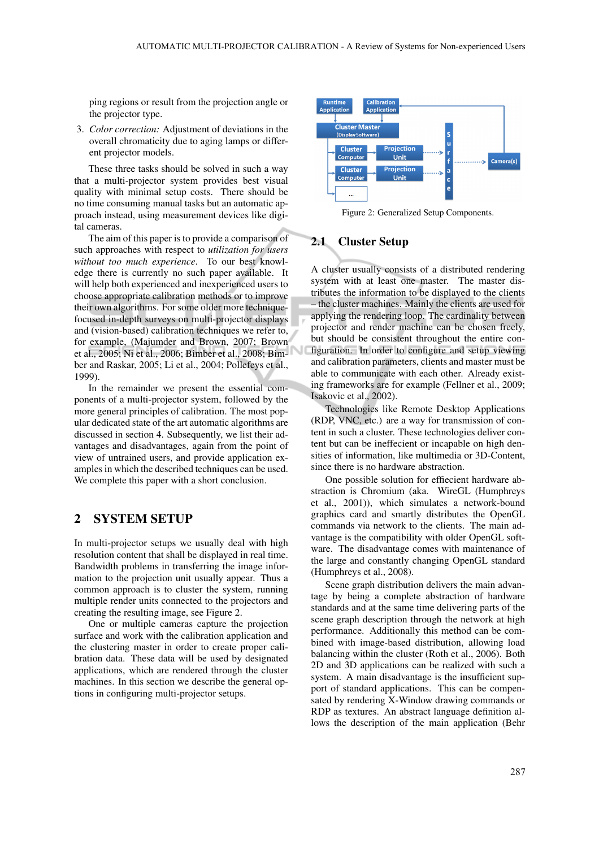ping regions or result from the projection angle or the projector type.

3. *Color correction:* Adjustment of deviations in the overall chromaticity due to aging lamps or different projector models.

These three tasks should be solved in such a way that a multi-projector system provides best visual quality with minimal setup costs. There should be no time consuming manual tasks but an automatic approach instead, using measurement devices like digital cameras.

The aim of this paper is to provide a comparison of such approaches with respect to *utilization for users without too much experience*. To our best knowledge there is currently no such paper available. It will help both experienced and inexperienced users to choose appropriate calibration methods or to improve their own algorithms. For some older more techniquefocused in-depth surveys on multi-projector displays and (vision-based) calibration techniques we refer to, for example, (Majumder and Brown, 2007; Brown et al., 2005; Ni et al., 2006; Bimber et al., 2008; Bimber and Raskar, 2005; Li et al., 2004; Pollefeys et al., 1999).

In the remainder we present the essential components of a multi-projector system, followed by the more general principles of calibration. The most popular dedicated state of the art automatic algorithms are discussed in section 4. Subsequently, we list their advantages and disadvantages, again from the point of view of untrained users, and provide application examples in which the described techniques can be used. We complete this paper with a short conclusion.

## 2 SYSTEM SETUP

In multi-projector setups we usually deal with high resolution content that shall be displayed in real time. Bandwidth problems in transferring the image information to the projection unit usually appear. Thus a common approach is to cluster the system, running multiple render units connected to the projectors and creating the resulting image, see Figure 2.

One or multiple cameras capture the projection surface and work with the calibration application and the clustering master in order to create proper calibration data. These data will be used by designated applications, which are rendered through the cluster machines. In this section we describe the general options in configuring multi-projector setups.



Figure 2: Generalized Setup Components.

#### 2.1 Cluster Setup

√

A cluster usually consists of a distributed rendering system with at least one master. The master distributes the information to be displayed to the clients – the cluster machines. Mainly the clients are used for applying the rendering loop. The cardinality between projector and render machine can be chosen freely, but should be consistent throughout the entire configuration. In order to configure and setup viewing and calibration parameters, clients and master must be able to communicate with each other. Already existing frameworks are for example (Fellner et al., 2009; Isakovic et al., 2002).

Technologies like Remote Desktop Applications (RDP, VNC, etc.) are a way for transmission of content in such a cluster. These technologies deliver content but can be ineffecient or incapable on high densities of information, like multimedia or 3D-Content, since there is no hardware abstraction.

One possible solution for effiecient hardware abstraction is Chromium (aka. WireGL (Humphreys et al., 2001)), which simulates a network-bound graphics card and smartly distributes the OpenGL commands via network to the clients. The main advantage is the compatibility with older OpenGL software. The disadvantage comes with maintenance of the large and constantly changing OpenGL standard (Humphreys et al., 2008).

Scene graph distribution delivers the main advantage by being a complete abstraction of hardware standards and at the same time delivering parts of the scene graph description through the network at high performance. Additionally this method can be combined with image-based distribution, allowing load balancing within the cluster (Roth et al., 2006). Both 2D and 3D applications can be realized with such a system. A main disadvantage is the insufficient support of standard applications. This can be compensated by rendering X-Window drawing commands or RDP as textures. An abstract language definition allows the description of the main application (Behr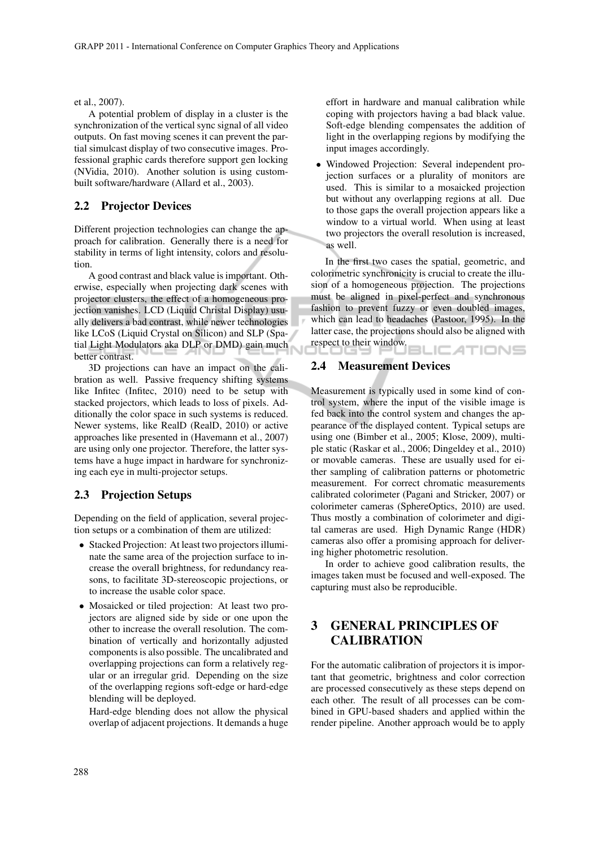et al., 2007).

A potential problem of display in a cluster is the synchronization of the vertical sync signal of all video outputs. On fast moving scenes it can prevent the partial simulcast display of two consecutive images. Professional graphic cards therefore support gen locking (NVidia, 2010). Another solution is using custombuilt software/hardware (Allard et al., 2003).

### 2.2 Projector Devices

Different projection technologies can change the approach for calibration. Generally there is a need for stability in terms of light intensity, colors and resolution.

A good contrast and black value is important. Otherwise, especially when projecting dark scenes with projector clusters, the effect of a homogeneous projection vanishes. LCD (Liquid Christal Display) usually delivers a bad contrast, while newer technologies like LCoS (Liquid Crystal on Silicon) and SLP (Spatial Light Modulators aka DLP or DMD) gain much better contrast.

3D projections can have an impact on the calibration as well. Passive frequency shifting systems like Infitec (Infitec, 2010) need to be setup with stacked projectors, which leads to loss of pixels. Additionally the color space in such systems is reduced. Newer systems, like RealD (RealD, 2010) or active approaches like presented in (Havemann et al., 2007) are using only one projector. Therefore, the latter systems have a huge impact in hardware for synchronizing each eye in multi-projector setups.

### 2.3 Projection Setups

Depending on the field of application, several projection setups or a combination of them are utilized:

- Stacked Projection: At least two projectors illuminate the same area of the projection surface to increase the overall brightness, for redundancy reasons, to facilitate 3D-stereoscopic projections, or to increase the usable color space.
- Mosaicked or tiled projection: At least two projectors are aligned side by side or one upon the other to increase the overall resolution. The combination of vertically and horizontally adjusted components is also possible. The uncalibrated and overlapping projections can form a relatively regular or an irregular grid. Depending on the size of the overlapping regions soft-edge or hard-edge blending will be deployed.

Hard-edge blending does not allow the physical overlap of adjacent projections. It demands a huge effort in hardware and manual calibration while coping with projectors having a bad black value. Soft-edge blending compensates the addition of light in the overlapping regions by modifying the input images accordingly.

• Windowed Projection: Several independent projection surfaces or a plurality of monitors are used. This is similar to a mosaicked projection but without any overlapping regions at all. Due to those gaps the overall projection appears like a window to a virtual world. When using at least two projectors the overall resolution is increased, as well.

In the first two cases the spatial, geometric, and colorimetric synchronicity is crucial to create the illusion of a homogeneous projection. The projections must be aligned in pixel-perfect and synchronous fashion to prevent fuzzy or even doubled images, which can lead to headaches (Pastoor, 1995). In the latter case, the projections should also be aligned with respect to their window. **BLICATIONS** 

#### 2.4 Measurement Devices

Measurement is typically used in some kind of control system, where the input of the visible image is fed back into the control system and changes the appearance of the displayed content. Typical setups are using one (Bimber et al., 2005; Klose, 2009), multiple static (Raskar et al., 2006; Dingeldey et al., 2010) or movable cameras. These are usually used for either sampling of calibration patterns or photometric measurement. For correct chromatic measurements calibrated colorimeter (Pagani and Stricker, 2007) or colorimeter cameras (SphereOptics, 2010) are used. Thus mostly a combination of colorimeter and digital cameras are used. High Dynamic Range (HDR) cameras also offer a promising approach for delivering higher photometric resolution.

In order to achieve good calibration results, the images taken must be focused and well-exposed. The capturing must also be reproducible.

# 3 GENERAL PRINCIPLES OF **CALIBRATION**

For the automatic calibration of projectors it is important that geometric, brightness and color correction are processed consecutively as these steps depend on each other. The result of all processes can be combined in GPU-based shaders and applied within the render pipeline. Another approach would be to apply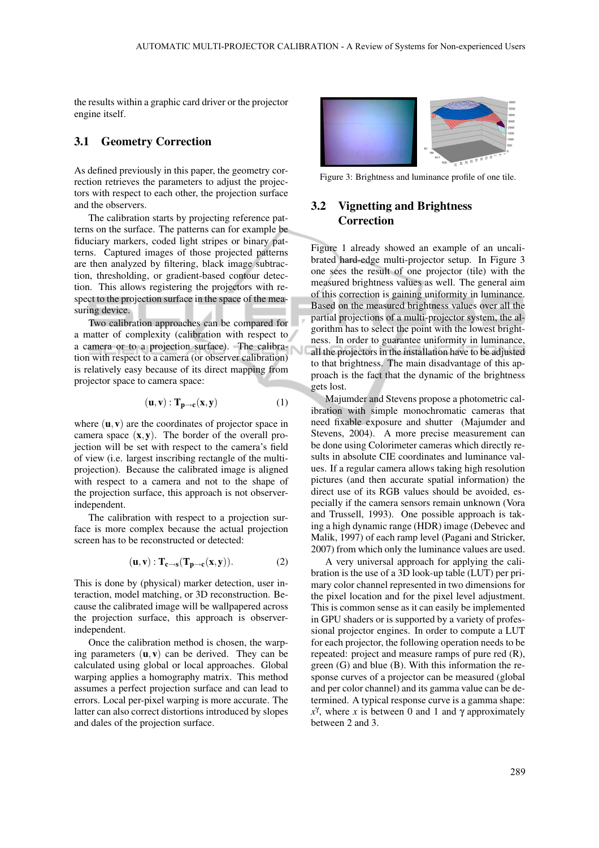the results within a graphic card driver or the projector engine itself.

### 3.1 Geometry Correction

As defined previously in this paper, the geometry correction retrieves the parameters to adjust the projectors with respect to each other, the projection surface and the observers.

The calibration starts by projecting reference patterns on the surface. The patterns can for example be fiduciary markers, coded light stripes or binary patterns. Captured images of those projected patterns are then analyzed by filtering, black image subtraction, thresholding, or gradient-based contour detection. This allows registering the projectors with respect to the projection surface in the space of the measuring device.

Two calibration approaches can be compared for a matter of complexity (calibration with respect to a camera or to a projection surface). The calibration with respect to a camera (or observer calibration) is relatively easy because of its direct mapping from projector space to camera space:

$$
(\mathbf{u}, \mathbf{v}) : \mathbf{T}_{\mathbf{p} \to \mathbf{c}}(\mathbf{x}, \mathbf{y}) \tag{1}
$$

where  $(\mathbf{u}, \mathbf{v})$  are the coordinates of projector space in camera space  $(x, y)$ . The border of the overall projection will be set with respect to the camera's field of view (i.e. largest inscribing rectangle of the multiprojection). Because the calibrated image is aligned with respect to a camera and not to the shape of the projection surface, this approach is not observerindependent.

The calibration with respect to a projection surface is more complex because the actual projection screen has to be reconstructed or detected:

$$
(\mathbf{u}, \mathbf{v}) : \mathbf{T}_{\mathbf{c} \to \mathbf{s}}(\mathbf{T}_{\mathbf{p} \to \mathbf{c}}(\mathbf{x}, \mathbf{y})). \tag{2}
$$

This is done by (physical) marker detection, user interaction, model matching, or 3D reconstruction. Because the calibrated image will be wallpapered across the projection surface, this approach is observerindependent.

Once the calibration method is chosen, the warping parameters  $(\mathbf{u}, \mathbf{v})$  can be derived. They can be calculated using global or local approaches. Global warping applies a homography matrix. This method assumes a perfect projection surface and can lead to errors. Local per-pixel warping is more accurate. The latter can also correct distortions introduced by slopes and dales of the projection surface.



Figure 3: Brightness and luminance profile of one tile.

## 3.2 Vignetting and Brightness **Correction**

Figure 1 already showed an example of an uncalibrated hard-edge multi-projector setup. In Figure 3 one sees the result of one projector (tile) with the measured brightness values as well. The general aim of this correction is gaining uniformity in luminance. Based on the measured brightness values over all the partial projections of a multi-projector system, the algorithm has to select the point with the lowest brightness. In order to guarantee uniformity in luminance, all the projectors in the installation have to be adjusted to that brightness. The main disadvantage of this approach is the fact that the dynamic of the brightness gets lost.

Majumder and Stevens propose a photometric calibration with simple monochromatic cameras that need fixable exposure and shutter (Majumder and Stevens, 2004). A more precise measurement can be done using Colorimeter cameras which directly results in absolute CIE coordinates and luminance values. If a regular camera allows taking high resolution pictures (and then accurate spatial information) the direct use of its RGB values should be avoided, especially if the camera sensors remain unknown (Vora and Trussell, 1993). One possible approach is taking a high dynamic range (HDR) image (Debevec and Malik, 1997) of each ramp level (Pagani and Stricker, 2007) from which only the luminance values are used.

A very universal approach for applying the calibration is the use of a 3D look-up table (LUT) per primary color channel represented in two dimensions for the pixel location and for the pixel level adjustment. This is common sense as it can easily be implemented in GPU shaders or is supported by a variety of professional projector engines. In order to compute a LUT for each projector, the following operation needs to be repeated: project and measure ramps of pure red (R), green (G) and blue (B). With this information the response curves of a projector can be measured (global and per color channel) and its gamma value can be determined. A typical response curve is a gamma shape:  $x<sup>γ</sup>$ , where *x* is between 0 and 1 and γ approximately between 2 and 3.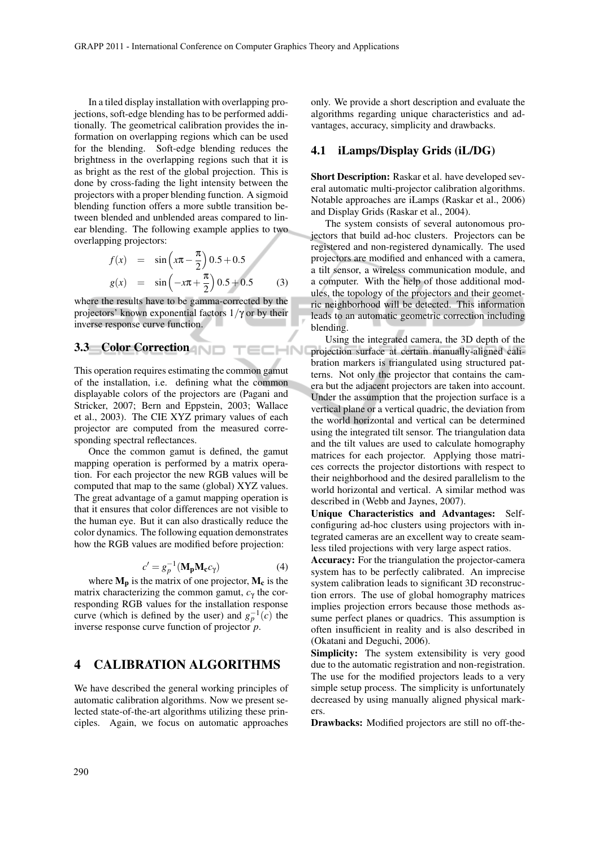In a tiled display installation with overlapping projections, soft-edge blending has to be performed additionally. The geometrical calibration provides the information on overlapping regions which can be used for the blending. Soft-edge blending reduces the brightness in the overlapping regions such that it is as bright as the rest of the global projection. This is done by cross-fading the light intensity between the projectors with a proper blending function. A sigmoid blending function offers a more subtle transition between blended and unblended areas compared to linear blending. The following example applies to two

overlapping projectors:  
\n
$$
f(x) = \sin\left(x\pi - \frac{\pi}{2}\right)0.5 + 0.5
$$
\n
$$
g(x) = \sin\left(-x\pi + \frac{\pi}{2}\right)0.5 + 0.5
$$
\n(3)

 $H = H$ 

where the results have to be gamma-corrected by the projectors' known exponential factors  $1/γ$  or by their inverse response curve function.

## 3.3 Color Correction

This operation requires estimating the common gamut of the installation, i.e. defining what the common displayable colors of the projectors are (Pagani and Stricker, 2007; Bern and Eppstein, 2003; Wallace et al., 2003). The CIE XYZ primary values of each projector are computed from the measured corresponding spectral reflectances.

Once the common gamut is defined, the gamut mapping operation is performed by a matrix operation. For each projector the new RGB values will be computed that map to the same (global) XYZ values. The great advantage of a gamut mapping operation is that it ensures that color differences are not visible to the human eye. But it can also drastically reduce the color dynamics. The following equation demonstrates how the RGB values are modified before projection:

$$
c' = g_p^{-1}(\mathbf{M}_p \mathbf{M}_c c_\gamma)
$$
 (4)

where  $M_p$  is the matrix of one projector,  $M_c$  is the matrix characterizing the common gamut, *c*<sup>γ</sup> the corresponding RGB values for the installation response curve (which is defined by the user) and  $g_p^{-1}(c)$  the inverse response curve function of projector *p*.

## 4 CALIBRATION ALGORITHMS

We have described the general working principles of automatic calibration algorithms. Now we present selected state-of-the-art algorithms utilizing these principles. Again, we focus on automatic approaches only. We provide a short description and evaluate the algorithms regarding unique characteristics and advantages, accuracy, simplicity and drawbacks.

#### 4.1 iLamps/Display Grids (iL/DG)

Short Description: Raskar et al. have developed several automatic multi-projector calibration algorithms. Notable approaches are iLamps (Raskar et al., 2006) and Display Grids (Raskar et al., 2004).

The system consists of several autonomous projectors that build ad-hoc clusters. Projectors can be registered and non-registered dynamically. The used projectors are modified and enhanced with a camera, a tilt sensor, a wireless communication module, and a computer. With the help of those additional modules, the topology of the projectors and their geometric neighborhood will be detected. This information leads to an automatic geometric correction including blending.

Using the integrated camera, the 3D depth of the projection surface at certain manually-aligned calibration markers is triangulated using structured patterns. Not only the projector that contains the camera but the adjacent projectors are taken into account. Under the assumption that the projection surface is a vertical plane or a vertical quadric, the deviation from the world horizontal and vertical can be determined using the integrated tilt sensor. The triangulation data and the tilt values are used to calculate homography matrices for each projector. Applying those matrices corrects the projector distortions with respect to their neighborhood and the desired parallelism to the world horizontal and vertical. A similar method was described in (Webb and Jaynes, 2007).

Unique Characteristics and Advantages: Selfconfiguring ad-hoc clusters using projectors with integrated cameras are an excellent way to create seamless tiled projections with very large aspect ratios.

Accuracy: For the triangulation the projector-camera system has to be perfectly calibrated. An imprecise system calibration leads to significant 3D reconstruction errors. The use of global homography matrices implies projection errors because those methods assume perfect planes or quadrics. This assumption is often insufficient in reality and is also described in (Okatani and Deguchi, 2006).

Simplicity: The system extensibility is very good due to the automatic registration and non-registration. The use for the modified projectors leads to a very simple setup process. The simplicity is unfortunately decreased by using manually aligned physical markers.

Drawbacks: Modified projectors are still no off-the-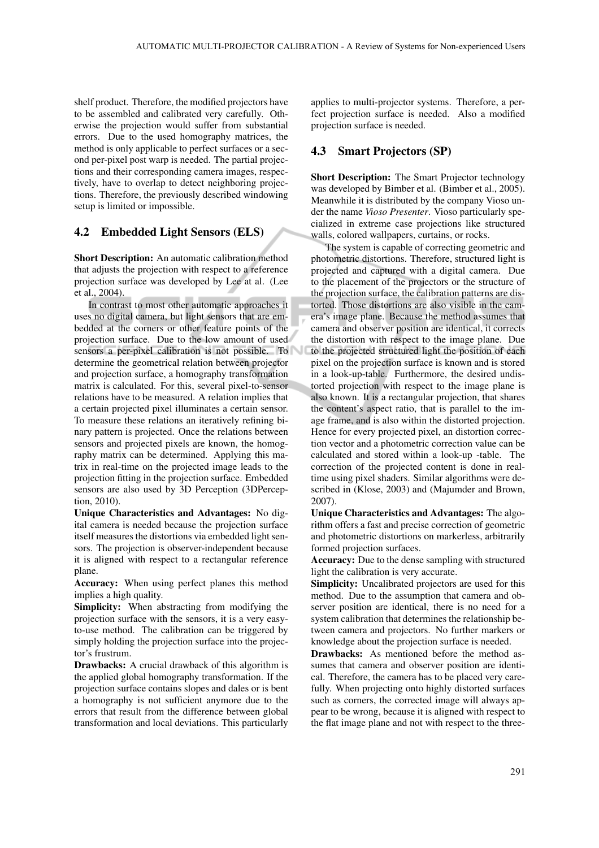shelf product. Therefore, the modified projectors have to be assembled and calibrated very carefully. Otherwise the projection would suffer from substantial errors. Due to the used homography matrices, the method is only applicable to perfect surfaces or a second per-pixel post warp is needed. The partial projections and their corresponding camera images, respectively, have to overlap to detect neighboring projections. Therefore, the previously described windowing setup is limited or impossible.

### 4.2 Embedded Light Sensors (ELS)

Short Description: An automatic calibration method that adjusts the projection with respect to a reference projection surface was developed by Lee at al. (Lee et al., 2004).

In contrast to most other automatic approaches it uses no digital camera, but light sensors that are embedded at the corners or other feature points of the projection surface. Due to the low amount of used sensors a per-pixel calibration is not possible. To determine the geometrical relation between projector and projection surface, a homography transformation matrix is calculated. For this, several pixel-to-sensor relations have to be measured. A relation implies that a certain projected pixel illuminates a certain sensor. To measure these relations an iteratively refining binary pattern is projected. Once the relations between sensors and projected pixels are known, the homography matrix can be determined. Applying this matrix in real-time on the projected image leads to the projection fitting in the projection surface. Embedded sensors are also used by 3D Perception (3DPerception, 2010).

Unique Characteristics and Advantages: No digital camera is needed because the projection surface itself measures the distortions via embedded light sensors. The projection is observer-independent because it is aligned with respect to a rectangular reference plane.

Accuracy: When using perfect planes this method implies a high quality.

Simplicity: When abstracting from modifying the projection surface with the sensors, it is a very easyto-use method. The calibration can be triggered by simply holding the projection surface into the projector's frustrum.

Drawbacks: A crucial drawback of this algorithm is the applied global homography transformation. If the projection surface contains slopes and dales or is bent a homography is not sufficient anymore due to the errors that result from the difference between global transformation and local deviations. This particularly

applies to multi-projector systems. Therefore, a perfect projection surface is needed. Also a modified projection surface is needed.

#### 4.3 Smart Projectors (SP)

Short Description: The Smart Projector technology was developed by Bimber et al. (Bimber et al., 2005). Meanwhile it is distributed by the company Vioso under the name *Vioso Presenter*. Vioso particularly specialized in extreme case projections like structured walls, colored wallpapers, curtains, or rocks.

The system is capable of correcting geometric and photometric distortions. Therefore, structured light is projected and captured with a digital camera. Due to the placement of the projectors or the structure of the projection surface, the calibration patterns are distorted. Those distortions are also visible in the camera's image plane. Because the method assumes that camera and observer position are identical, it corrects the distortion with respect to the image plane. Due to the projected structured light the position of each pixel on the projection surface is known and is stored in a look-up-table. Furthermore, the desired undistorted projection with respect to the image plane is also known. It is a rectangular projection, that shares the content's aspect ratio, that is parallel to the image frame, and is also within the distorted projection. Hence for every projected pixel, an distortion correction vector and a photometric correction value can be calculated and stored within a look-up -table. The correction of the projected content is done in realtime using pixel shaders. Similar algorithms were described in (Klose, 2003) and (Majumder and Brown, 2007).

Unique Characteristics and Advantages: The algorithm offers a fast and precise correction of geometric and photometric distortions on markerless, arbitrarily formed projection surfaces.

Accuracy: Due to the dense sampling with structured light the calibration is very accurate.

Simplicity: Uncalibrated projectors are used for this method. Due to the assumption that camera and observer position are identical, there is no need for a system calibration that determines the relationship between camera and projectors. No further markers or knowledge about the projection surface is needed.

Drawbacks: As mentioned before the method assumes that camera and observer position are identical. Therefore, the camera has to be placed very carefully. When projecting onto highly distorted surfaces such as corners, the corrected image will always appear to be wrong, because it is aligned with respect to the flat image plane and not with respect to the three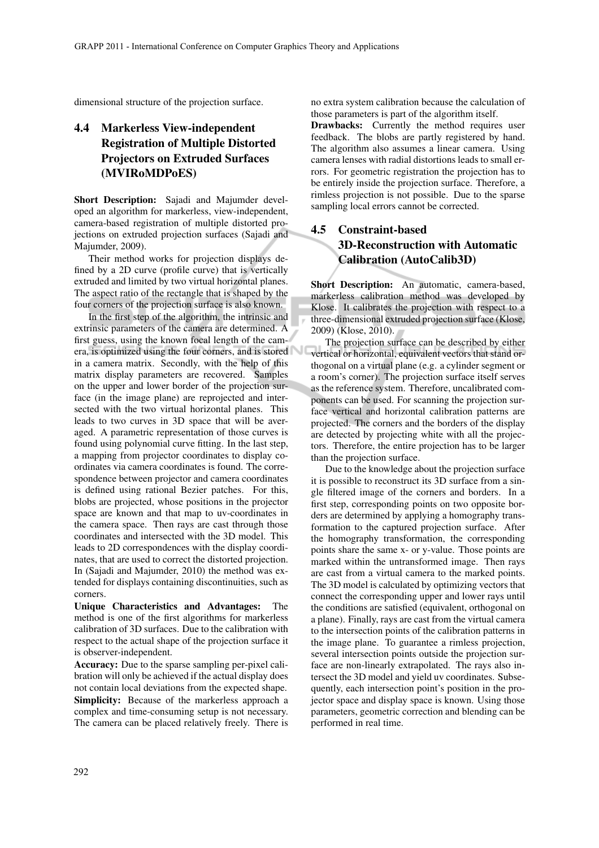dimensional structure of the projection surface.

# 4.4 Markerless View-independent Registration of Multiple Distorted Projectors on Extruded Surfaces (MVIRoMDPoES)

Short Description: Sajadi and Majumder developed an algorithm for markerless, view-independent, camera-based registration of multiple distorted projections on extruded projection surfaces (Sajadi and Majumder, 2009).

Their method works for projection displays defined by a 2D curve (profile curve) that is vertically extruded and limited by two virtual horizontal planes. The aspect ratio of the rectangle that is shaped by the four corners of the projection surface is also known.

In the first step of the algorithm, the intrinsic and extrinsic parameters of the camera are determined. A first guess, using the known focal length of the camera, is optimized using the four corners, and is stored in a camera matrix. Secondly, with the help of this matrix display parameters are recovered. Samples on the upper and lower border of the projection surface (in the image plane) are reprojected and intersected with the two virtual horizontal planes. This leads to two curves in 3D space that will be averaged. A parametric representation of those curves is found using polynomial curve fitting. In the last step, a mapping from projector coordinates to display coordinates via camera coordinates is found. The correspondence between projector and camera coordinates is defined using rational Bezier patches. For this, blobs are projected, whose positions in the projector space are known and that map to uv-coordinates in the camera space. Then rays are cast through those coordinates and intersected with the 3D model. This leads to 2D correspondences with the display coordinates, that are used to correct the distorted projection. In (Sajadi and Majumder, 2010) the method was extended for displays containing discontinuities, such as corners.

Unique Characteristics and Advantages: The method is one of the first algorithms for markerless calibration of 3D surfaces. Due to the calibration with respect to the actual shape of the projection surface it is observer-independent.

Accuracy: Due to the sparse sampling per-pixel calibration will only be achieved if the actual display does not contain local deviations from the expected shape. Simplicity: Because of the markerless approach a complex and time-consuming setup is not necessary. The camera can be placed relatively freely. There is no extra system calibration because the calculation of those parameters is part of the algorithm itself.

Drawbacks: Currently the method requires user feedback. The blobs are partly registered by hand. The algorithm also assumes a linear camera. Using camera lenses with radial distortions leads to small errors. For geometric registration the projection has to be entirely inside the projection surface. Therefore, a rimless projection is not possible. Due to the sparse sampling local errors cannot be corrected.

# 4.5 Constraint-based 3D-Reconstruction with Automatic Calibration (AutoCalib3D)

Short Description: An automatic, camera-based, markerless calibration method was developed by Klose. It calibrates the projection with respect to a three-dimensional extruded projection surface (Klose, 2009) (Klose, 2010).

The projection surface can be described by either vertical or horizontal, equivalent vectors that stand orthogonal on a virtual plane (e.g. a cylinder segment or a room's corner). The projection surface itself serves as the reference system. Therefore, uncalibrated components can be used. For scanning the projection surface vertical and horizontal calibration patterns are projected. The corners and the borders of the display are detected by projecting white with all the projectors. Therefore, the entire projection has to be larger than the projection surface.

Due to the knowledge about the projection surface it is possible to reconstruct its 3D surface from a single filtered image of the corners and borders. In a first step, corresponding points on two opposite borders are determined by applying a homography transformation to the captured projection surface. After the homography transformation, the corresponding points share the same x- or y-value. Those points are marked within the untransformed image. Then rays are cast from a virtual camera to the marked points. The 3D model is calculated by optimizing vectors that connect the corresponding upper and lower rays until the conditions are satisfied (equivalent, orthogonal on a plane). Finally, rays are cast from the virtual camera to the intersection points of the calibration patterns in the image plane. To guarantee a rimless projection, several intersection points outside the projection surface are non-linearly extrapolated. The rays also intersect the 3D model and yield uv coordinates. Subsequently, each intersection point's position in the projector space and display space is known. Using those parameters, geometric correction and blending can be performed in real time.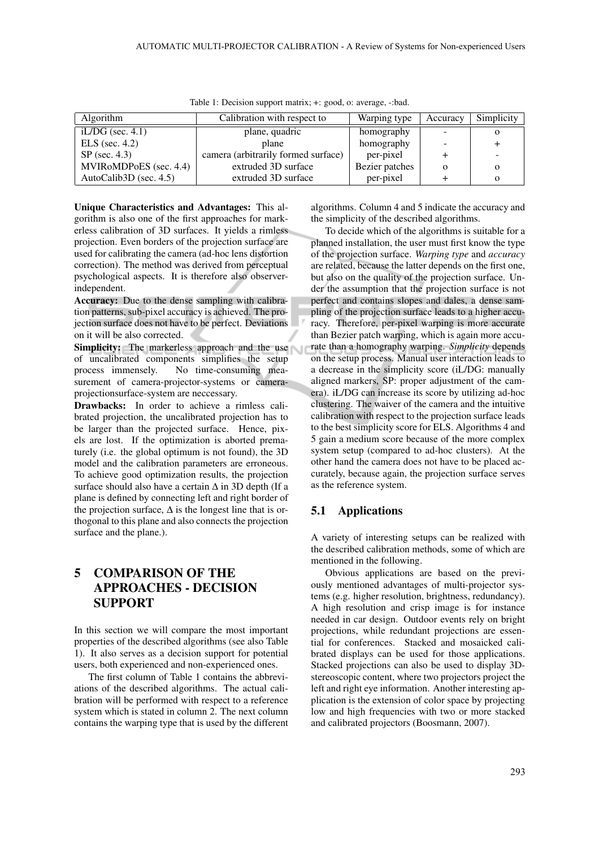| Algorithm                 | Calibration with respect to         | Warping type   | Accuracy | Simplicity |
|---------------------------|-------------------------------------|----------------|----------|------------|
| iL/DG (sec. $4.1$ )       | plane, quadric                      | homography     |          | О          |
| $ELS$ (sec. 4.2)          | plane                               | homography     |          |            |
| $SP$ (sec. 4.3)           | camera (arbitrarily formed surface) | per-pixel      |          |            |
| MVIRoMDPoES (sec. 4.4)    | extruded 3D surface                 | Bezier patches |          | $\Omega$   |
| AutoCalib3D (sec. $4.5$ ) | extruded 3D surface                 | per-pixel      |          | $\Omega$   |

Table 1: Decision support matrix; +: good, o: average, -:bad.

Unique Characteristics and Advantages: This algorithm is also one of the first approaches for markerless calibration of 3D surfaces. It yields a rimless projection. Even borders of the projection surface are used for calibrating the camera (ad-hoc lens distortion correction). The method was derived from perceptual psychological aspects. It is therefore also observerindependent.

Accuracy: Due to the dense sampling with calibration patterns, sub-pixel accuracy is achieved. The projection surface does not have to be perfect. Deviations on it will be also corrected.

Simplicity: The markerless approach and the use of uncalibrated components simplifies the setup process immensely. No time-consuming measurement of camera-projector-systems or cameraprojectionsurface-system are neccessary.

Drawbacks: In order to achieve a rimless calibrated projection, the uncalibrated projection has to be larger than the projected surface. Hence, pixels are lost. If the optimization is aborted prematurely (i.e. the global optimum is not found), the 3D model and the calibration parameters are erroneous. To achieve good optimization results, the projection surface should also have a certain  $\Delta$  in 3D depth (If a plane is defined by connecting left and right border of the projection surface,  $\Delta$  is the longest line that is orthogonal to this plane and also connects the projection surface and the plane.).

# 5 COMPARISON OF THE APPROACHES - DECISION SUPPORT

In this section we will compare the most important properties of the described algorithms (see also Table 1). It also serves as a decision support for potential users, both experienced and non-experienced ones.

The first column of Table 1 contains the abbreviations of the described algorithms. The actual calibration will be performed with respect to a reference system which is stated in column 2. The next column contains the warping type that is used by the different algorithms. Column 4 and 5 indicate the accuracy and the simplicity of the described algorithms.

To decide which of the algorithms is suitable for a planned installation, the user must first know the type of the projection surface. *Warping type* and *accuracy* are related, because the latter depends on the first one, but also on the quality of the projection surface. Under the assumption that the projection surface is not perfect and contains slopes and dales, a dense sampling of the projection surface leads to a higher accuracy. Therefore, per-pixel warping is more accurate than Bezier patch warping, which is again more accurate than a homography warping. *Simplicity* depends on the setup process. Manual user interaction leads to a decrease in the simplicity score (iL/DG: manually aligned markers, SP: proper adjustment of the camera). iL/DG can increase its score by utilizing ad-hoc clustering. The waiver of the camera and the intuitive calibration with respect to the projection surface leads to the best simplicity score for ELS. Algorithms 4 and 5 gain a medium score because of the more complex system setup (compared to ad-hoc clusters). At the other hand the camera does not have to be placed accurately, because again, the projection surface serves as the reference system.

## 5.1 Applications

A variety of interesting setups can be realized with the described calibration methods, some of which are mentioned in the following.

Obvious applications are based on the previously mentioned advantages of multi-projector systems (e.g. higher resolution, brightness, redundancy). A high resolution and crisp image is for instance needed in car design. Outdoor events rely on bright projections, while redundant projections are essential for conferences. Stacked and mosaicked calibrated displays can be used for those applications. Stacked projections can also be used to display 3Dstereoscopic content, where two projectors project the left and right eye information. Another interesting application is the extension of color space by projecting low and high frequencies with two or more stacked and calibrated projectors (Boosmann, 2007).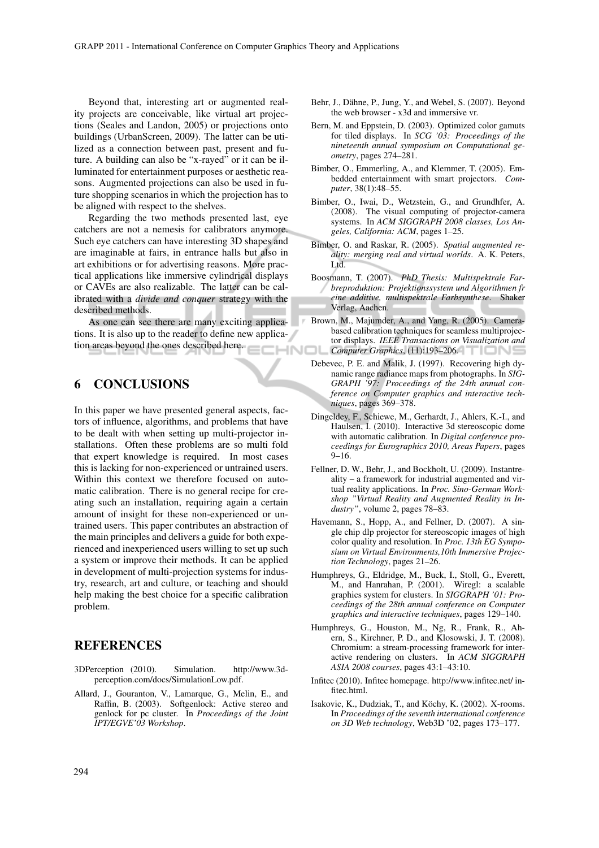Beyond that, interesting art or augmented reality projects are conceivable, like virtual art projections (Seales and Landon, 2005) or projections onto buildings (UrbanScreen, 2009). The latter can be utilized as a connection between past, present and future. A building can also be "x-rayed" or it can be illuminated for entertainment purposes or aesthetic reasons. Augmented projections can also be used in future shopping scenarios in which the projection has to be aligned with respect to the shelves.

Regarding the two methods presented last, eye catchers are not a nemesis for calibrators anymore. Such eye catchers can have interesting 3D shapes and are imaginable at fairs, in entrance halls but also in art exhibitions or for advertising reasons. More practical applications like immersive cylindrical displays or CAVEs are also realizable. The latter can be calibrated with a *divide and conquer* strategy with the described methods.

As one can see there are many exciting applications. It is also up to the reader to define new application areas beyond the ones described here. **IHNOL** 

## 6 CONCLUSIONS

In this paper we have presented general aspects, factors of influence, algorithms, and problems that have to be dealt with when setting up multi-projector installations. Often these problems are so multi fold that expert knowledge is required. In most cases this is lacking for non-experienced or untrained users. Within this context we therefore focused on automatic calibration. There is no general recipe for creating such an installation, requiring again a certain amount of insight for these non-experienced or untrained users. This paper contributes an abstraction of the main principles and delivers a guide for both experienced and inexperienced users willing to set up such a system or improve their methods. It can be applied in development of multi-projection systems for industry, research, art and culture, or teaching and should help making the best choice for a specific calibration problem.

## REFERENCES

- 3DPerception (2010). Simulation. http://www.3dperception.com/docs/SimulationLow.pdf.
- Allard, J., Gouranton, V., Lamarque, G., Melin, E., and Raffin, B. (2003). Softgenlock: Active stereo and genlock for pc cluster. In *Proceedings of the Joint IPT/EGVE'03 Workshop*.
- Behr, J., Dähne, P., Jung, Y., and Webel, S. (2007). Beyond the web browser - x3d and immersive vr.
- Bern, M. and Eppstein, D. (2003). Optimized color gamuts for tiled displays. In *SCG '03: Proceedings of the nineteenth annual symposium on Computational geometry*, pages 274–281.
- Bimber, O., Emmerling, A., and Klemmer, T. (2005). Embedded entertainment with smart projectors. *Computer*, 38(1):48–55.
- Bimber, O., Iwai, D., Wetzstein, G., and Grundhfer, A. (2008). The visual computing of projector-camera systems. In *ACM SIGGRAPH 2008 classes, Los Angeles, California: ACM*, pages 1–25.
- Bimber, O. and Raskar, R. (2005). *Spatial augmented reality: merging real and virtual worlds*. A. K. Peters, Ltd.
- Boosmann, T. (2007). *PhD Thesis: Multispektrale Farbreproduktion: Projektionssystem und Algorithmen fr eine additive, multispektrale Farbsynthese*. Shaker Verlag, Aachen.
- Brown, M., Majumder, A., and Yang, R. (2005). Camerabased calibration techniques for seamless multiprojector displays. *IEEE Transactions on Visualization and Computer Graphics*, (11):193–206.
- Debevec, P. E. and Malik, J. (1997). Recovering high dynamic range radiance maps from photographs. In *SIG-GRAPH '97: Proceedings of the 24th annual conference on Computer graphics and interactive techniques*, pages 369–378.
- Dingeldey, F., Schiewe, M., Gerhardt, J., Ahlers, K.-I., and Haulsen, I. (2010). Interactive 3d stereoscopic dome with automatic calibration. In *Digital conference proceedings for Eurographics 2010, Areas Papers*, pages 9–16.
- Fellner, D. W., Behr, J., and Bockholt, U. (2009). Instantreality – a framework for industrial augmented and virtual reality applications. In *Proc. Sino-German Workshop "Virtual Reality and Augmented Reality in Industry"*, volume 2, pages 78–83.
- Havemann, S., Hopp, A., and Fellner, D. (2007). A single chip dlp projector for stereoscopic images of high color quality and resolution. In *Proc. 13th EG Symposium on Virtual Environments,10th Immersive Projection Technology*, pages 21–26.
- Humphreys, G., Eldridge, M., Buck, I., Stoll, G., Everett, M., and Hanrahan, P. (2001). Wiregl: a scalable graphics system for clusters. In *SIGGRAPH '01: Proceedings of the 28th annual conference on Computer graphics and interactive techniques*, pages 129–140.
- Humphreys, G., Houston, M., Ng, R., Frank, R., Ahern, S., Kirchner, P. D., and Klosowski, J. T. (2008). Chromium: a stream-processing framework for interactive rendering on clusters. In *ACM SIGGRAPH ASIA 2008 courses*, pages 43:1–43:10.
- Infitec (2010). Infitec homepage. http://www.infitec.net/ infitec.html.
- Isakovic, K., Dudziak, T., and Köchy, K. (2002). X-rooms. In *Proceedings of the seventh international conference on 3D Web technology*, Web3D '02, pages 173–177.